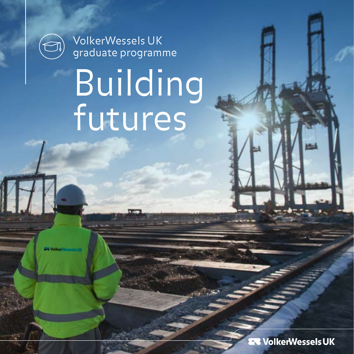

VolkerWessels UK graduate programme

# Building futures

 $\mathbb{H}$ 

**VolkerWesselsUK**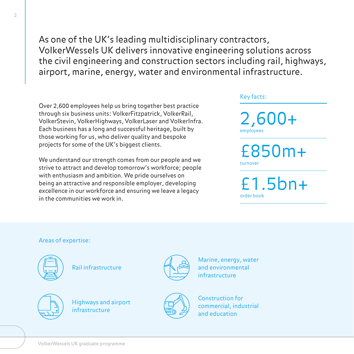As one of the UK's leading multidisciplinary contractors, VolkerWessels UK delivers innovative engineering solutions across the civil engineering and construction sectors including rail, highways, airport, marine, energy, water and environmental infrastructure.

Over 2,600 employees help us bring together best practice through six business units: VolkerFitzpatrick, VolkerRail, VolkerStevin, VolkerHighways, VolkerLaser and VolkerInfra. Each business has a long and successful heritage, built by those working for us, who deliver quality and bespoke projects for some of the UK's biggest clients.

We understand our strength comes from our people and we strive to attract and develop tomorrow's workforce; people with enthusiasm and ambition. We pride ourselves on being an attractive and responsible employer, developing excellence in our workforce and ensuring we leave a legacy in the communities we work in.

#### Key facts:

2,600+ employees

£850m+ turnover

£1.5bn+ order book

#### Areas of expertise:



Rail infrastructure



Highways and airport infrastructure



Marine, energy, water and environmental infrastructure



Construction for commercial, industrial and education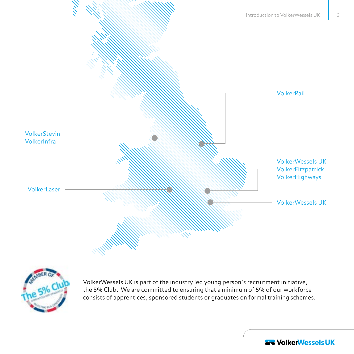



VolkerWessels UK is part of the industry led young person's recruitment initiative, the 5% Club. We are committed to ensuring that a minimum of 5% of our workforce consists of apprentices, sponsored students or graduates on formal training schemes.

**AT VolkerWessels UK**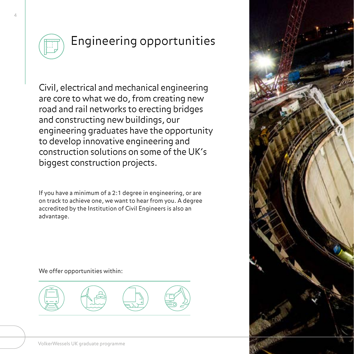

## Engineering opportunities

Civil, electrical and mechanical engineering are core to what we do, from creating new road and rail networks to erecting bridges and constructing new buildings, our engineering graduates have the opportunity to develop innovative engineering and construction solutions on some of the UK's biggest construction projects.

If you have a minimum of a 2:1 degree in engineering, or are on track to achieve one, we want to hear from you. A degree accredited by the Institution of Civil Engineers is also an advantage.



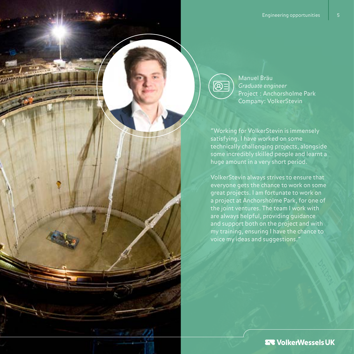

Manuel Bräu *Graduate engineer* Project : Anchorsholme Park Company: VolkerStevin

"Working for VolkerStevin is immensely satisfying. I have worked on some technically challenging projects, alongside some incredibly skilled people and learnt a huge amount in a very short period.

VolkerStevin always strives to ensure that everyone gets the chance to work on some great projects. I am fortunate to work on a project at Anchorsholme Park, for one of the joint ventures. The team I work with are always helpful, providing guidance and support both on the project and with my training, ensuring I have the chance to voice my ideas and suggestions."

**ER VolkerWessels UK**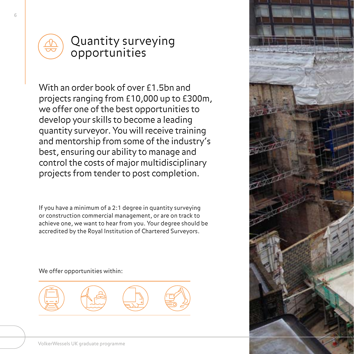

#### Quantity surveying opportunities

With an order book of over £1.5bn and projects ranging from £10,000 up to £300m, we offer one of the best opportunities to develop your skills to become a leading quantity surveyor. You will receive training and mentorship from some of the industry's best, ensuring our ability to manage and control the costs of major multidisciplinary projects from tender to post completion.

If you have a minimum of a 2:1 degree in quantity surveying or construction commercial management, or are on track to achieve one, we want to hear from you. Your degree should be accredited by the Royal Institution of Chartered Surveyors.



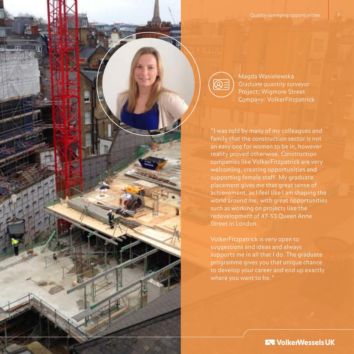$\overline{\bigotimes}$ 

Magda Wasielewska *Graduate quantity surveyor* Project: Wigmore Street Company: VolkerFitzpatrick

"I was told by many of my colleagues and family that the construction sector is not an easy one for women to be in, however reality proved otherwise. Construction companies like VolkerFitzpatrick are very welcoming, creating opportunities and supporting female staff. My graduate placement gives me that great sense of achievement, as I feel like I am shaping the world around me; with great opportunities such as working on projects like the redevelopment of 47-53 Queen Anne Street in London.

VolkerFitzpatrick is very open to suggestions and ideas and always supports me in all that I do. The graduate programme gives you that unique chance to develop your career and end up exactly where you want to be."

**27 VolkerWessels UK**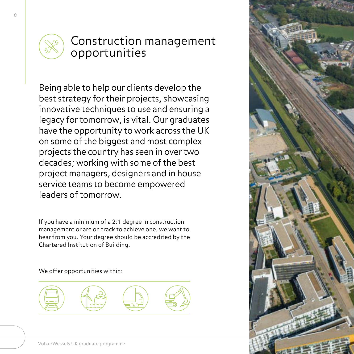

### Construction management opportunities

Being able to help our clients develop the best strategy for their projects, showcasing innovative techniques to use and ensuring a legacy for tomorrow, is vital. Our graduates have the opportunity to work across the UK on some of the biggest and most complex projects the country has seen in over two decades; working with some of the best project managers, designers and in house service teams to become empowered leaders of tomorrow.

If you have a minimum of a 2:1 degree in construction management or are on track to achieve one, we want to hear from you. Your degree should be accredited by the Chartered Institution of Building.



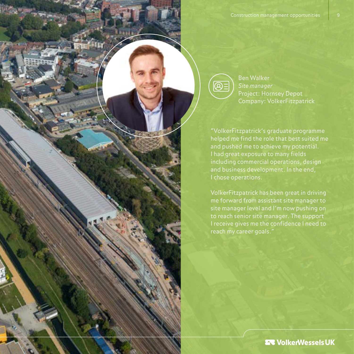$\circledR{}$ 

Ben Walker *Site manager* Project: Hornsey Depot Company: VolkerFitzpatrick

"VolkerFitzpatrick's graduate programme helped me find the role that best suited me and pushed me to achieve my potential. I had great exposure to many fields including commercial operations, design and business development. In the end, I chose operations.

VolkerFitzpatrick has been great in driving me forward from assistant site manager to site manager level and I'm now pushing on to reach senior site manager. The support I receive gives me the confidence I need to reach my career goals."

**EVOIKerWesselsUK**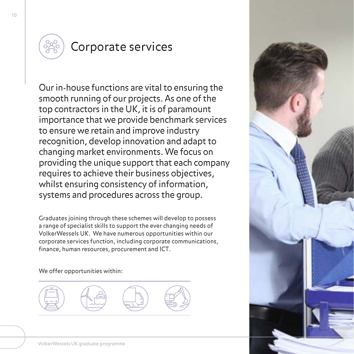

## Corporate services

Our in-house functions are vital to ensuring the smooth running of our projects. As one of the top contractors in the UK, it is of paramount importance that we provide benchmark services to ensure we retain and improve industry recognition, develop innovation and adapt to changing market environments. We focus on providing the unique support that each company requires to achieve their business objectives, whilst ensuring consistency of information, systems and procedures across the group.

Graduates joining through these schemes will develop to possess a range of specialist skills to support the ever changing needs of VolkerWessels UK. We have numerous opportunities within our corporate services function, including corporate communications, finance, human resources, procurement and ICT.



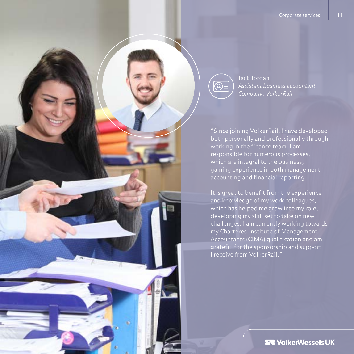![](_page_10_Picture_1.jpeg)

![](_page_10_Picture_2.jpeg)

Jack Jordan *Assistant business accountant Company: VolkerRail*

"Since joining VolkerRail, I have developed both personally and professionally through working in the finance team. I am responsible for numerous processes, which are integral to the business, gaining experience in both management accounting and financial reporting.

It is great to benefit from the experience and knowledge of my work colleagues, which has helped me grow into my role, developing my skill set to take on new challenges. I am currently working towards my Chartered Institute of Management Accountants (CIMA) qualification and am grateful for the sponsorship and support I receive from VolkerRail."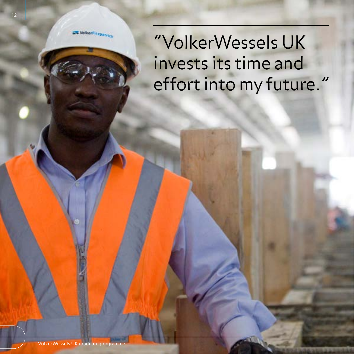![](_page_11_Picture_0.jpeg)

## "VolkerWessels UK invests its time and effort into my future."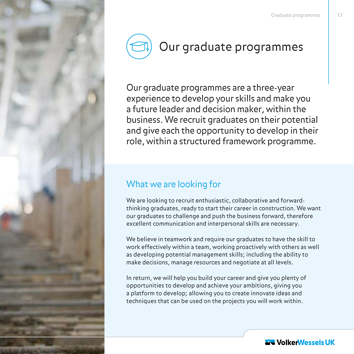![](_page_12_Picture_1.jpeg)

![](_page_12_Picture_2.jpeg)

Our graduate programmes are a three-year experience to develop your skills and make you a future leader and decision maker, within the business. We recruit graduates on their potential and give each the opportunity to develop in their role, within a structured framework programme.

#### What we are looking for

We are looking to recruit enthusiastic, collaborative and forwardthinking graduates, ready to start their career in construction. We want our graduates to challenge and push the business forward, therefore excellent communication and interpersonal skills are necessary.

We believe in teamwork and require our graduates to have the skill to work effectively within a team, working proactively with others as well as developing potential management skills; including the ability to make decisions, manage resources and negotiate at all levels.

In return, we will help you build your career and give you plenty of opportunities to develop and achieve your ambitions, giving you a platform to develop; allowing you to create innovate ideas and techniques that can be used on the projects you will work within.

![](_page_12_Picture_8.jpeg)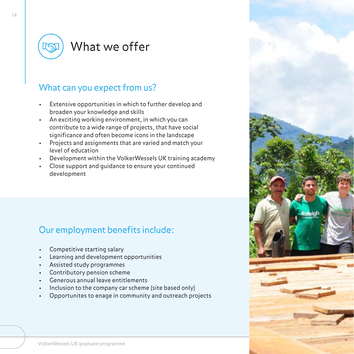![](_page_13_Picture_0.jpeg)

## What we offer

#### What can you expect from us?

- Extensive opportunities in which to further develop and broaden your knowledge and skills
- An exciting working environment, in which you can contribute to a wide range of projects, that have social significance and often become icons in the landscape
- Projects and assignments that are varied and match your level of education
- Development within the VolkerWessels UK training academy
- Close support and guidance to ensure your continued development

#### Our employment benefits include:

- Competitive starting salary
- Learning and development opportunities
- Assisted study programmes
- Contributory pension scheme
- Generous annual leave entitlements
- Inclusion to the company car scheme (site based only)
- Opportunites to enage in community and outreach projects

![](_page_13_Picture_16.jpeg)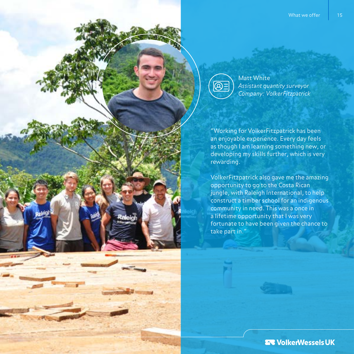![](_page_14_Picture_1.jpeg)

Matt White *Assistant quantity surveyor Company: VolkerFitzpatrick*

"Working for VolkerFitzpatrick has been an enjoyable experience. Every day feels as though I am learning something new, or developing my skills further, which is very rewarding.

VolkerFitzpatrick also gave me the amazing opportunity to go to the Costa Rican jungle, with Raleigh International, to help construct a timber school for an indigenous community in need. This was a once in a lifetime opportunity that I was very fortunate to have been given the chance to take part in."